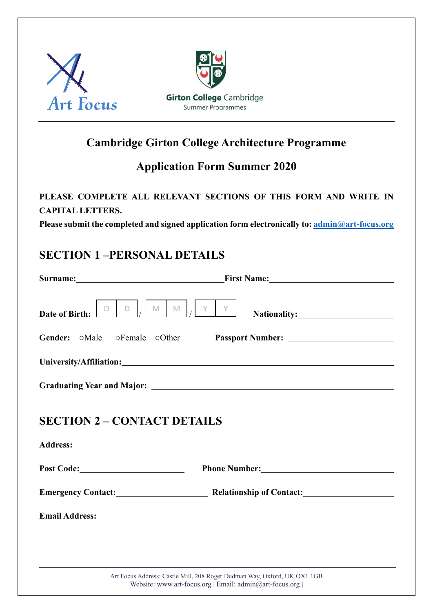



# **Cambridge Girton College Architecture Programme**

# **Application Form Summer 2020**

#### **PLEASE COMPLETE ALL RELEVANT SECTIONS OF THIS FORM AND WRITE IN CAPITAL LETTERS.**

**Please submit the completed and signed application form electronically to: [admin@art-focus.org](mailto:admin@art-focus.org)**

## **SECTION 1 –PERSONAL DETAILS**

| $D \mid_L$<br>M<br>D<br>Date of Birth:                   | $Y \perp$<br>$M \mid$<br>Y                                                                                                          |  |  |
|----------------------------------------------------------|-------------------------------------------------------------------------------------------------------------------------------------|--|--|
| <b>Gender:</b> $\circ$ Male $\circ$ Female $\circ$ Other |                                                                                                                                     |  |  |
|                                                          |                                                                                                                                     |  |  |
|                                                          |                                                                                                                                     |  |  |
| <b>SECTION 2 – CONTACT DETAILS</b>                       |                                                                                                                                     |  |  |
|                                                          | Emergency Contact: Relationship of Contact:                                                                                         |  |  |
|                                                          |                                                                                                                                     |  |  |
|                                                          |                                                                                                                                     |  |  |
|                                                          | Art Focus Address: Castle Mill, 208 Roger Dudman Way, Oxford, UK OX1 1GB<br>Website: www.art-focus.org   Email: admin@art-focus.org |  |  |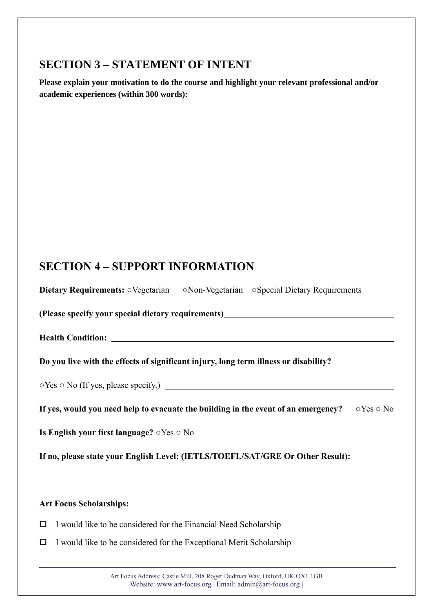# **SECTION 3 – STATEMENT OF INTENT**

**Please explain your motivation to do the course and highlight your relevant professional and/or academic experiences (within 300 words):** 

# **SECTION 4 – SUPPORT INFORMATION**

| Dietary Requirements: OVegetarian ONon-Vegetarian OSpecial Dietary Requirements                                         |  |  |
|-------------------------------------------------------------------------------------------------------------------------|--|--|
| (Please specify your special dietary requirements)<br>The manufacture of the specify your special dietary requirements) |  |  |
|                                                                                                                         |  |  |
| Do you live with the effects of significant injury, long term illness or disability?                                    |  |  |
|                                                                                                                         |  |  |
| If yes, would you need help to evacuate the building in the event of an emergency? $\circ$ Yes $\circ$ No               |  |  |
| Is English your first language? $\circ$ Yes $\circ$ No                                                                  |  |  |
| If no, please state your English Level: (IETLS/TOEFL/SAT/GRE Or Other Result):                                          |  |  |
|                                                                                                                         |  |  |

#### **Art Focus Scholarships:**

- $\Box$  I would like to be considered for the Financial Need Scholarship
- $\Box$  I would like to be considered for the Exceptional Merit Scholarship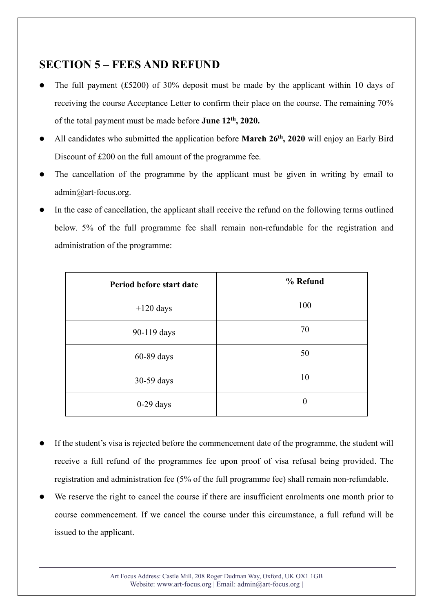## **SECTION 5 – FEES AND REFUND**

- The full payment (£5200) of 30% deposit must be made by the applicant within 10 days of receiving the course Acceptance Letter to confirm their place on the course. The remaining 70% of the total payment must be made before **June 12th, 2020.**
- ⚫ All candidates who submitted the application before **March 26th, 2020** will enjoy an Early Bird Discount of £200 on the full amount of the programme fee.
- The cancellation of the programme by the applicant must be given in writing by email to admin@art-focus.org.
- In the case of cancellation, the applicant shall receive the refund on the following terms outlined below. 5% of the full programme fee shall remain non-refundable for the registration and administration of the programme:

| Period before start date | % Refund       |
|--------------------------|----------------|
| $+120$ days              | 100            |
| 90-119 days              | 70             |
| 60-89 days               | 50             |
| 30-59 days               | 10             |
| $0-29$ days              | $\overline{0}$ |

- ⚫ If the student's visa is rejected before the commencement date of the programme, the student will receive a full refund of the programmes fee upon proof of visa refusal being provided. The registration and administration fee (5% of the full programme fee) shall remain non-refundable.
- We reserve the right to cancel the course if there are insufficient enrolments one month prior to course commencement. If we cancel the course under this circumstance, a full refund will be issued to the applicant.